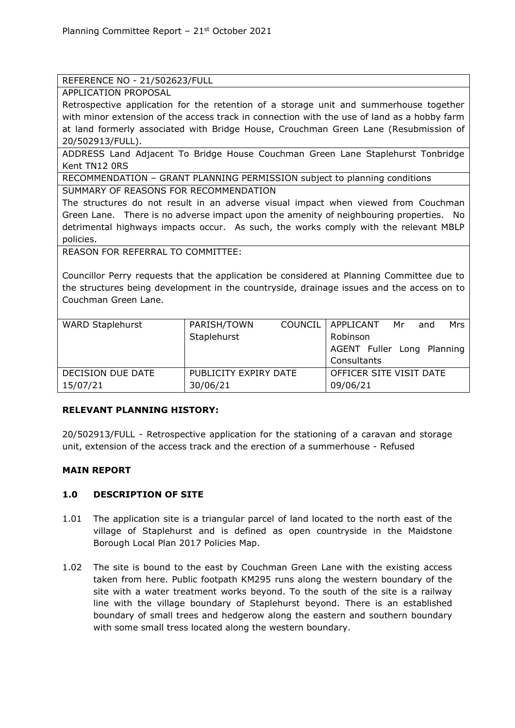#### REFERENCE NO - 21/502623/FULL

APPLICATION PROPOSAL

Retrospective application for the retention of a storage unit and summerhouse together with minor extension of the access track in connection with the use of land as a hobby farm at land formerly associated with Bridge House, Crouchman Green Lane (Resubmission of 20/502913/FULL).

ADDRESS Land Adjacent To Bridge House Couchman Green Lane Staplehurst Tonbridge Kent TN12 0RS

RECOMMENDATION – GRANT PLANNING PERMISSION subject to planning conditions

SUMMARY OF REASONS FOR RECOMMENDATION

The structures do not result in an adverse visual impact when viewed from Couchman Green Lane. There is no adverse impact upon the amenity of neighbouring properties. No detrimental highways impacts occur. As such, the works comply with the relevant MBLP policies.

REASON FOR REFERRAL TO COMMITTEE:

Councillor Perry requests that the application be considered at Planning Committee due to the structures being development in the countryside, drainage issues and the access on to Couchman Green Lane.

| <b>WARD Staplehurst</b> | PARISH/TOWN           |  | COUNCIL   APPLICANT        | Mr | and | Mrs |
|-------------------------|-----------------------|--|----------------------------|----|-----|-----|
|                         | Staplehurst           |  | Robinson                   |    |     |     |
|                         |                       |  | AGENT Fuller Long Planning |    |     |     |
|                         |                       |  | Consultants                |    |     |     |
| DECISION DUE DATE       | PUBLICITY EXPIRY DATE |  | OFFICER SITE VISIT DATE    |    |     |     |
| 15/07/21                | 30/06/21              |  | 09/06/21                   |    |     |     |

## **RELEVANT PLANNING HISTORY:**

20/502913/FULL - Retrospective application for the stationing of a caravan and storage unit, extension of the access track and the erection of a summerhouse - Refused

## **MAIN REPORT**

## **1.0 DESCRIPTION OF SITE**

- 1.01 The application site is a triangular parcel of land located to the north east of the village of Staplehurst and is defined as open countryside in the Maidstone Borough Local Plan 2017 Policies Map.
- 1.02 The site is bound to the east by Couchman Green Lane with the existing access taken from here. Public footpath KM295 runs along the western boundary of the site with a water treatment works beyond. To the south of the site is a railway line with the village boundary of Staplehurst beyond. There is an established boundary of small trees and hedgerow along the eastern and southern boundary with some small tress located along the western boundary.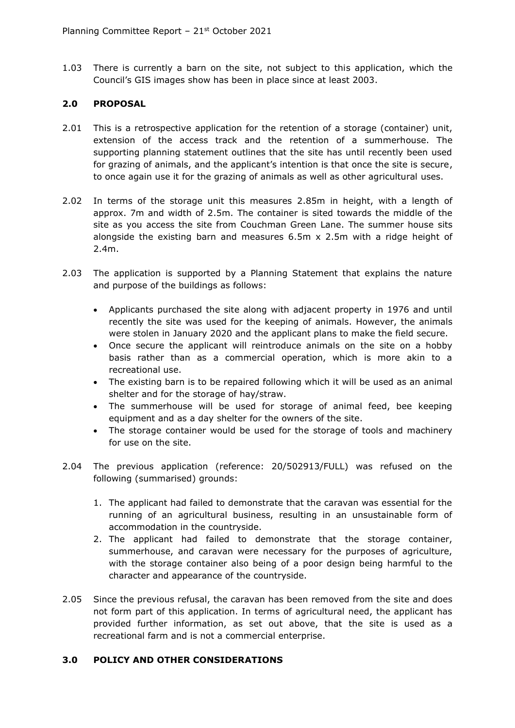1.03 There is currently a barn on the site, not subject to this application, which the Council's GIS images show has been in place since at least 2003.

# **2.0 PROPOSAL**

- 2.01 This is a retrospective application for the retention of a storage (container) unit, extension of the access track and the retention of a summerhouse. The supporting planning statement outlines that the site has until recently been used for grazing of animals, and the applicant's intention is that once the site is secure, to once again use it for the grazing of animals as well as other agricultural uses.
- 2.02 In terms of the storage unit this measures 2.85m in height, with a length of approx. 7m and width of 2.5m. The container is sited towards the middle of the site as you access the site from Couchman Green Lane. The summer house sits alongside the existing barn and measures  $6.5m \times 2.5m$  with a ridge height of 2.4m.
- 2.03 The application is supported by a Planning Statement that explains the nature and purpose of the buildings as follows:
	- Applicants purchased the site along with adjacent property in 1976 and until recently the site was used for the keeping of animals. However, the animals were stolen in January 2020 and the applicant plans to make the field secure.
	- Once secure the applicant will reintroduce animals on the site on a hobby basis rather than as a commercial operation, which is more akin to a recreational use.
	- The existing barn is to be repaired following which it will be used as an animal shelter and for the storage of hay/straw.
	- The summerhouse will be used for storage of animal feed, bee keeping equipment and as a day shelter for the owners of the site.
	- The storage container would be used for the storage of tools and machinery for use on the site.
- 2.04 The previous application (reference: 20/502913/FULL) was refused on the following (summarised) grounds:
	- 1. The applicant had failed to demonstrate that the caravan was essential for the running of an agricultural business, resulting in an unsustainable form of accommodation in the countryside.
	- 2. The applicant had failed to demonstrate that the storage container, summerhouse, and caravan were necessary for the purposes of agriculture, with the storage container also being of a poor design being harmful to the character and appearance of the countryside.
- 2.05 Since the previous refusal, the caravan has been removed from the site and does not form part of this application. In terms of agricultural need, the applicant has provided further information, as set out above, that the site is used as a recreational farm and is not a commercial enterprise.

#### **3.0 POLICY AND OTHER CONSIDERATIONS**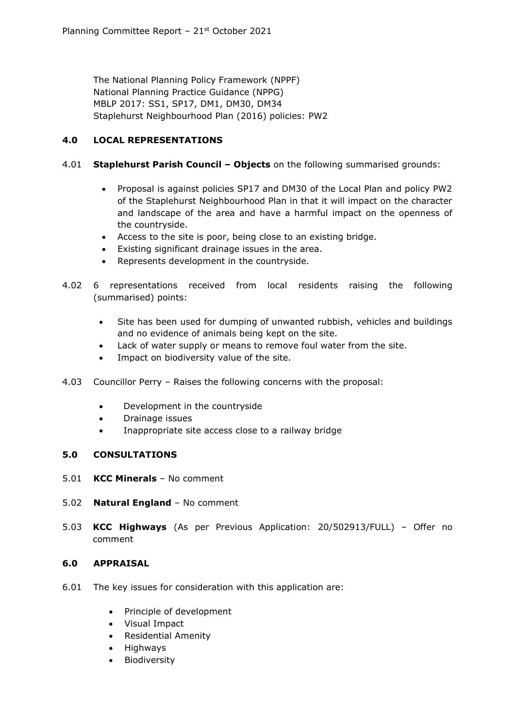The National Planning Policy Framework (NPPF) National Planning Practice Guidance (NPPG) MBLP 2017: SS1, SP17, DM1, DM30, DM34 Staplehurst Neighbourhood Plan (2016) policies: PW2

# **4.0 LOCAL REPRESENTATIONS**

#### 4.01 **Staplehurst Parish Council – Objects** on the following summarised grounds:

- Proposal is against policies SP17 and DM30 of the Local Plan and policy PW2 of the Staplehurst Neighbourhood Plan in that it will impact on the character and landscape of the area and have a harmful impact on the openness of the countryside.
- Access to the site is poor, being close to an existing bridge.
- Existing significant drainage issues in the area.
- Represents development in the countryside.
- 4.02 6 representations received from local residents raising the following (summarised) points:
	- Site has been used for dumping of unwanted rubbish, vehicles and buildings and no evidence of animals being kept on the site.
	- Lack of water supply or means to remove foul water from the site.
	- Impact on biodiversity value of the site.
- 4.03 Councillor Perry Raises the following concerns with the proposal:
	- Development in the countryside
	- Drainage issues
	- Inappropriate site access close to a railway bridge

## **5.0 CONSULTATIONS**

- 5.01 **KCC Minerals**  No comment
- 5.02 **Natural England**  No comment
- 5.03 **KCC Highways** (As per Previous Application: 20/502913/FULL) Offer no comment

## **6.0 APPRAISAL**

- 6.01 The key issues for consideration with this application are:
	- Principle of development
	- Visual Impact
	- Residential Amenity
	- Highways
	- Biodiversity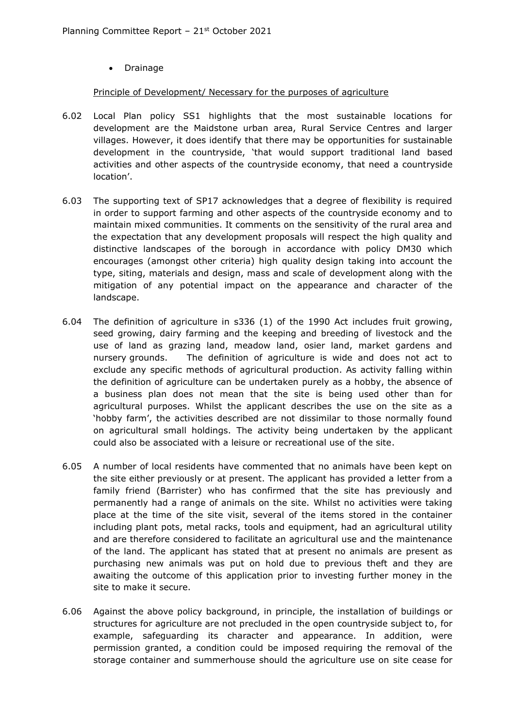• Drainage

#### Principle of Development/ Necessary for the purposes of agriculture

- 6.02 Local Plan policy SS1 highlights that the most sustainable locations for development are the Maidstone urban area, Rural Service Centres and larger villages. However, it does identify that there may be opportunities for sustainable development in the countryside, 'that would support traditional land based activities and other aspects of the countryside economy, that need a countryside location'.
- 6.03 The supporting text of SP17 acknowledges that a degree of flexibility is required in order to support farming and other aspects of the countryside economy and to maintain mixed communities. It comments on the sensitivity of the rural area and the expectation that any development proposals will respect the high quality and distinctive landscapes of the borough in accordance with policy DM30 which encourages (amongst other criteria) high quality design taking into account the type, siting, materials and design, mass and scale of development along with the mitigation of any potential impact on the appearance and character of the landscape.
- 6.04 The definition of agriculture in s336 (1) of the 1990 Act includes fruit growing, seed growing, dairy farming and the keeping and breeding of livestock and the use of land as grazing land, meadow land, osier land, market gardens and nursery grounds. The definition of agriculture is wide and does not act to exclude any specific methods of agricultural production. As activity falling within the definition of agriculture can be undertaken purely as a hobby, the absence of a business plan does not mean that the site is being used other than for agricultural purposes. Whilst the applicant describes the use on the site as a 'hobby farm', the activities described are not dissimilar to those normally found on agricultural small holdings. The activity being undertaken by the applicant could also be associated with a leisure or recreational use of the site.
- 6.05 A number of local residents have commented that no animals have been kept on the site either previously or at present. The applicant has provided a letter from a family friend (Barrister) who has confirmed that the site has previously and permanently had a range of animals on the site. Whilst no activities were taking place at the time of the site visit, several of the items stored in the container including plant pots, metal racks, tools and equipment, had an agricultural utility and are therefore considered to facilitate an agricultural use and the maintenance of the land. The applicant has stated that at present no animals are present as purchasing new animals was put on hold due to previous theft and they are awaiting the outcome of this application prior to investing further money in the site to make it secure.
- 6.06 Against the above policy background, in principle, the installation of buildings or structures for agriculture are not precluded in the open countryside subject to, for example, safeguarding its character and appearance. In addition, were permission granted, a condition could be imposed requiring the removal of the storage container and summerhouse should the agriculture use on site cease for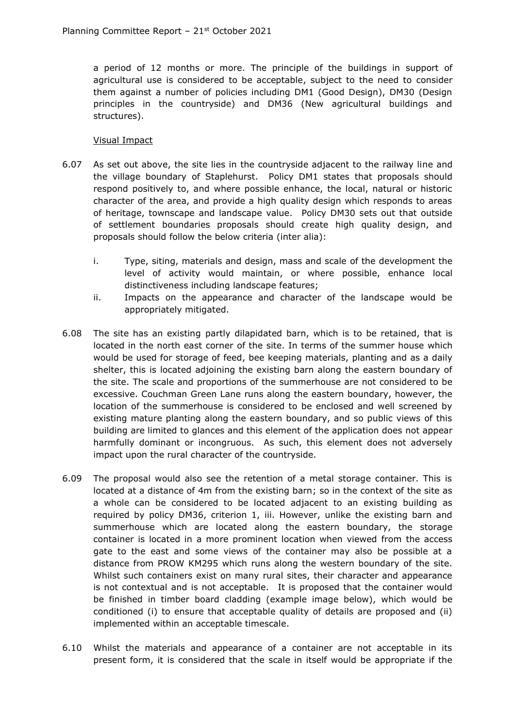a period of 12 months or more. The principle of the buildings in support of agricultural use is considered to be acceptable, subject to the need to consider them against a number of policies including DM1 (Good Design), DM30 (Design principles in the countryside) and DM36 (New agricultural buildings and structures).

#### Visual Impact

- 6.07 As set out above, the site lies in the countryside adjacent to the railway line and the village boundary of Staplehurst. Policy DM1 states that proposals should respond positively to, and where possible enhance, the local, natural or historic character of the area, and provide a high quality design which responds to areas of heritage, townscape and landscape value. Policy DM30 sets out that outside of settlement boundaries proposals should create high quality design, and proposals should follow the below criteria (inter alia):
	- i. Type, siting, materials and design, mass and scale of the development the level of activity would maintain, or where possible, enhance local distinctiveness including landscape features;
	- ii. Impacts on the appearance and character of the landscape would be appropriately mitigated.
- 6.08 The site has an existing partly dilapidated barn, which is to be retained, that is located in the north east corner of the site. In terms of the summer house which would be used for storage of feed, bee keeping materials, planting and as a daily shelter, this is located adjoining the existing barn along the eastern boundary of the site. The scale and proportions of the summerhouse are not considered to be excessive. Couchman Green Lane runs along the eastern boundary, however, the location of the summerhouse is considered to be enclosed and well screened by existing mature planting along the eastern boundary, and so public views of this building are limited to glances and this element of the application does not appear harmfully dominant or incongruous. As such, this element does not adversely impact upon the rural character of the countryside.
- 6.09 The proposal would also see the retention of a metal storage container. This is located at a distance of 4m from the existing barn; so in the context of the site as a whole can be considered to be located adjacent to an existing building as required by policy DM36, criterion 1, iii. However, unlike the existing barn and summerhouse which are located along the eastern boundary, the storage container is located in a more prominent location when viewed from the access gate to the east and some views of the container may also be possible at a distance from PROW KM295 which runs along the western boundary of the site. Whilst such containers exist on many rural sites, their character and appearance is not contextual and is not acceptable. It is proposed that the container would be finished in timber board cladding (example image below), which would be conditioned (i) to ensure that acceptable quality of details are proposed and (ii) implemented within an acceptable timescale.
- 6.10 Whilst the materials and appearance of a container are not acceptable in its present form, it is considered that the scale in itself would be appropriate if the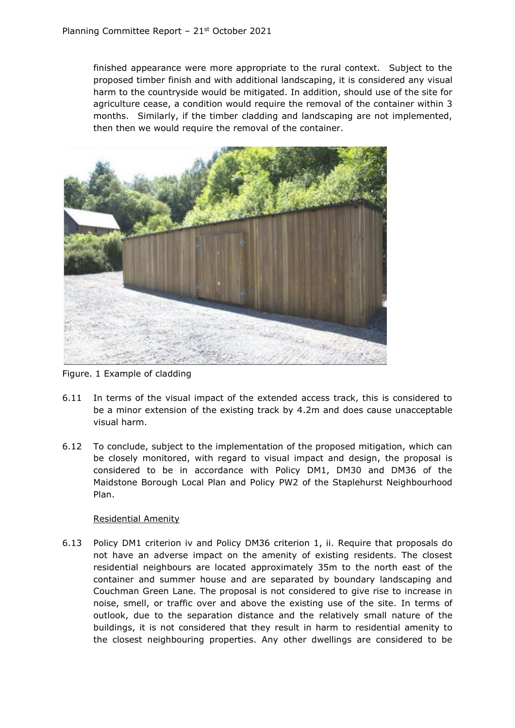finished appearance were more appropriate to the rural context. Subject to the proposed timber finish and with additional landscaping, it is considered any visual harm to the countryside would be mitigated. In addition, should use of the site for agriculture cease, a condition would require the removal of the container within 3 months. Similarly, if the timber cladding and landscaping are not implemented, then then we would require the removal of the container.



Figure. 1 Example of cladding

- 6.11 In terms of the visual impact of the extended access track, this is considered to be a minor extension of the existing track by 4.2m and does cause unacceptable visual harm.
- 6.12 To conclude, subject to the implementation of the proposed mitigation, which can be closely monitored, with regard to visual impact and design, the proposal is considered to be in accordance with Policy DM1, DM30 and DM36 of the Maidstone Borough Local Plan and Policy PW2 of the Staplehurst Neighbourhood Plan.

## Residential Amenity

6.13 Policy DM1 criterion iv and Policy DM36 criterion 1, ii. Require that proposals do not have an adverse impact on the amenity of existing residents. The closest residential neighbours are located approximately 35m to the north east of the container and summer house and are separated by boundary landscaping and Couchman Green Lane. The proposal is not considered to give rise to increase in noise, smell, or traffic over and above the existing use of the site. In terms of outlook, due to the separation distance and the relatively small nature of the buildings, it is not considered that they result in harm to residential amenity to the closest neighbouring properties. Any other dwellings are considered to be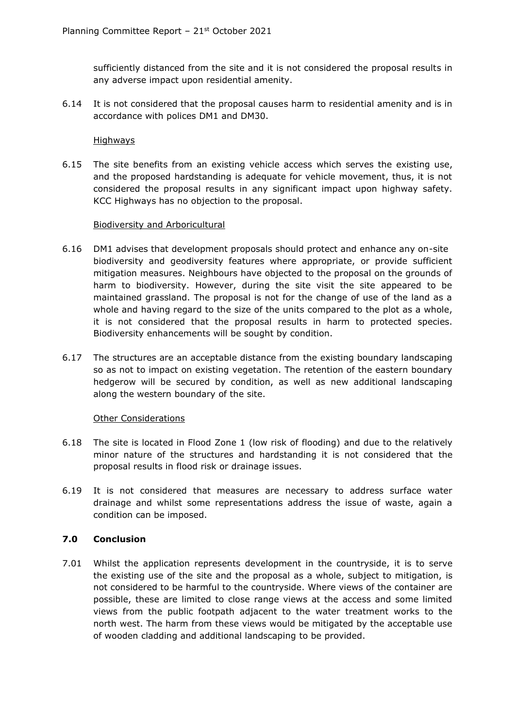sufficiently distanced from the site and it is not considered the proposal results in any adverse impact upon residential amenity.

6.14 It is not considered that the proposal causes harm to residential amenity and is in accordance with polices DM1 and DM30.

#### Highways

6.15 The site benefits from an existing vehicle access which serves the existing use, and the proposed hardstanding is adequate for vehicle movement, thus, it is not considered the proposal results in any significant impact upon highway safety. KCC Highways has no objection to the proposal.

## Biodiversity and Arboricultural

- 6.16 DM1 advises that development proposals should protect and enhance any on-site biodiversity and geodiversity features where appropriate, or provide sufficient mitigation measures. Neighbours have objected to the proposal on the grounds of harm to biodiversity. However, during the site visit the site appeared to be maintained grassland. The proposal is not for the change of use of the land as a whole and having regard to the size of the units compared to the plot as a whole, it is not considered that the proposal results in harm to protected species. Biodiversity enhancements will be sought by condition.
- 6.17 The structures are an acceptable distance from the existing boundary landscaping so as not to impact on existing vegetation. The retention of the eastern boundary hedgerow will be secured by condition, as well as new additional landscaping along the western boundary of the site.

## Other Considerations

- 6.18 The site is located in Flood Zone 1 (low risk of flooding) and due to the relatively minor nature of the structures and hardstanding it is not considered that the proposal results in flood risk or drainage issues.
- 6.19 It is not considered that measures are necessary to address surface water drainage and whilst some representations address the issue of waste, again a condition can be imposed.

## **7.0 Conclusion**

7.01 Whilst the application represents development in the countryside, it is to serve the existing use of the site and the proposal as a whole, subject to mitigation, is not considered to be harmful to the countryside. Where views of the container are possible, these are limited to close range views at the access and some limited views from the public footpath adjacent to the water treatment works to the north west. The harm from these views would be mitigated by the acceptable use of wooden cladding and additional landscaping to be provided.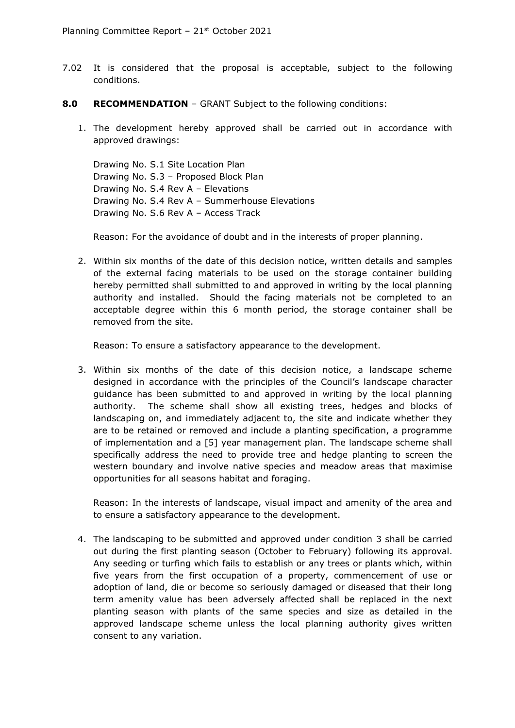- 7.02 It is considered that the proposal is acceptable, subject to the following conditions.
- **8.0 RECOMMENDATION** GRANT Subject to the following conditions:
	- 1. The development hereby approved shall be carried out in accordance with approved drawings:

Drawing No. S.1 Site Location Plan Drawing No. S.3 – Proposed Block Plan Drawing No. S.4 Rev A – Elevations Drawing No. S.4 Rev A – Summerhouse Elevations Drawing No. S.6 Rev A – Access Track

Reason: For the avoidance of doubt and in the interests of proper planning.

2. Within six months of the date of this decision notice, written details and samples of the external facing materials to be used on the storage container building hereby permitted shall submitted to and approved in writing by the local planning authority and installed. Should the facing materials not be completed to an acceptable degree within this 6 month period, the storage container shall be removed from the site.

Reason: To ensure a satisfactory appearance to the development.

3. Within six months of the date of this decision notice, a landscape scheme designed in accordance with the principles of the Council's landscape character guidance has been submitted to and approved in writing by the local planning authority. The scheme shall show all existing trees, hedges and blocks of landscaping on, and immediately adjacent to, the site and indicate whether they are to be retained or removed and include a planting specification, a programme of implementation and a [5] year management plan. The landscape scheme shall specifically address the need to provide tree and hedge planting to screen the western boundary and involve native species and meadow areas that maximise opportunities for all seasons habitat and foraging.

Reason: In the interests of landscape, visual impact and amenity of the area and to ensure a satisfactory appearance to the development.

4. The landscaping to be submitted and approved under condition 3 shall be carried out during the first planting season (October to February) following its approval. Any seeding or turfing which fails to establish or any trees or plants which, within five years from the first occupation of a property, commencement of use or adoption of land, die or become so seriously damaged or diseased that their long term amenity value has been adversely affected shall be replaced in the next planting season with plants of the same species and size as detailed in the approved landscape scheme unless the local planning authority gives written consent to any variation.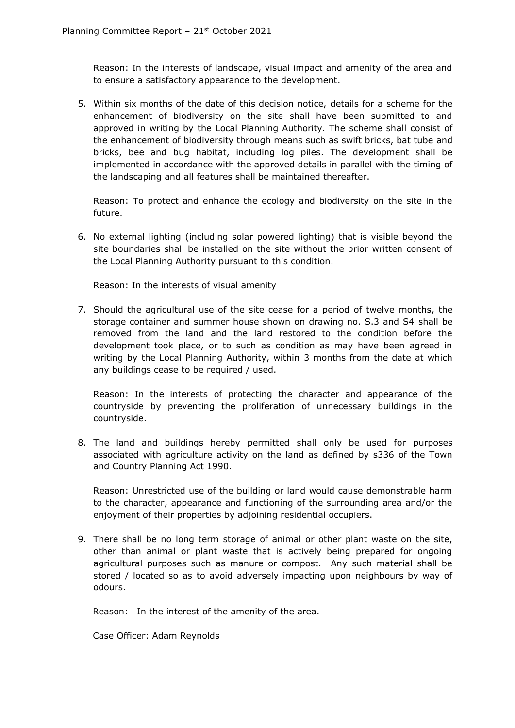Reason: In the interests of landscape, visual impact and amenity of the area and to ensure a satisfactory appearance to the development.

5. Within six months of the date of this decision notice, details for a scheme for the enhancement of biodiversity on the site shall have been submitted to and approved in writing by the Local Planning Authority. The scheme shall consist of the enhancement of biodiversity through means such as swift bricks, bat tube and bricks, bee and bug habitat, including log piles. The development shall be implemented in accordance with the approved details in parallel with the timing of the landscaping and all features shall be maintained thereafter.

Reason: To protect and enhance the ecology and biodiversity on the site in the future.

6. No external lighting (including solar powered lighting) that is visible beyond the site boundaries shall be installed on the site without the prior written consent of the Local Planning Authority pursuant to this condition.

Reason: In the interests of visual amenity

7. Should the agricultural use of the site cease for a period of twelve months, the storage container and summer house shown on drawing no. S.3 and S4 shall be removed from the land and the land restored to the condition before the development took place, or to such as condition as may have been agreed in writing by the Local Planning Authority, within 3 months from the date at which any buildings cease to be required / used.

Reason: In the interests of protecting the character and appearance of the countryside by preventing the proliferation of unnecessary buildings in the countryside.

8. The land and buildings hereby permitted shall only be used for purposes associated with agriculture activity on the land as defined by s336 of the Town and Country Planning Act 1990.

Reason: Unrestricted use of the building or land would cause demonstrable harm to the character, appearance and functioning of the surrounding area and/or the enjoyment of their properties by adjoining residential occupiers.

9. There shall be no long term storage of animal or other plant waste on the site, other than animal or plant waste that is actively being prepared for ongoing agricultural purposes such as manure or compost. Any such material shall be stored / located so as to avoid adversely impacting upon neighbours by way of odours.

Reason: In the interest of the amenity of the area.

Case Officer: Adam Reynolds